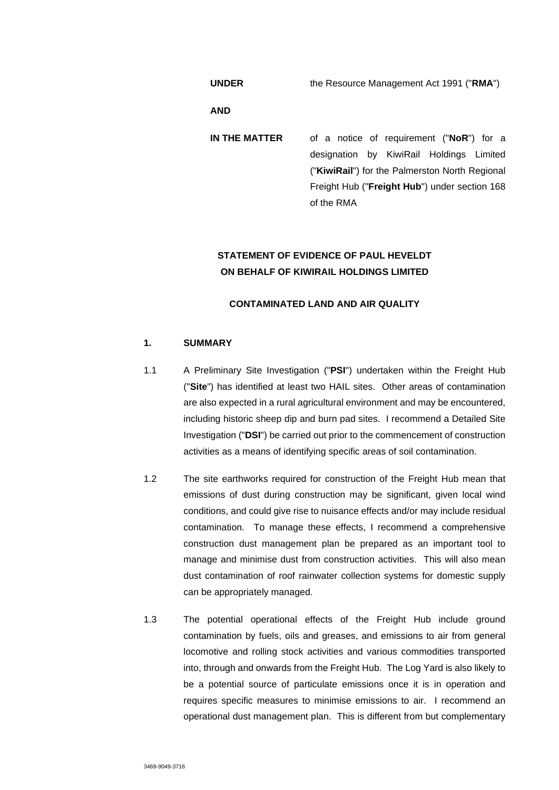**UNDER** the Resource Management Act 1991 ("**RMA**")

**AND** 

**IN THE MATTER** of a notice of requirement ("**NoR**") for a designation by KiwiRail Holdings Limited ("**KiwiRail**") for the Palmerston North Regional Freight Hub ("**Freight Hub**") under section 168 of the RMA

# **STATEMENT OF EVIDENCE OF PAUL HEVELDT ON BEHALF OF KIWIRAIL HOLDINGS LIMITED**

## **CONTAMINATED LAND AND AIR QUALITY**

## **1. SUMMARY**

- 1.1 A Preliminary Site Investigation ("**PSI**") undertaken within the Freight Hub ("**Site**") has identified at least two HAIL sites. Other areas of contamination are also expected in a rural agricultural environment and may be encountered, including historic sheep dip and burn pad sites. I recommend a Detailed Site Investigation ("**DSI**") be carried out prior to the commencement of construction activities as a means of identifying specific areas of soil contamination.
- 1.2 The site earthworks required for construction of the Freight Hub mean that emissions of dust during construction may be significant, given local wind conditions, and could give rise to nuisance effects and/or may include residual contamination. To manage these effects, I recommend a comprehensive construction dust management plan be prepared as an important tool to manage and minimise dust from construction activities. This will also mean dust contamination of roof rainwater collection systems for domestic supply can be appropriately managed.
- 1.3 The potential operational effects of the Freight Hub include ground contamination by fuels, oils and greases, and emissions to air from general locomotive and rolling stock activities and various commodities transported into, through and onwards from the Freight Hub. The Log Yard is also likely to be a potential source of particulate emissions once it is in operation and requires specific measures to minimise emissions to air. I recommend an operational dust management plan. This is different from but complementary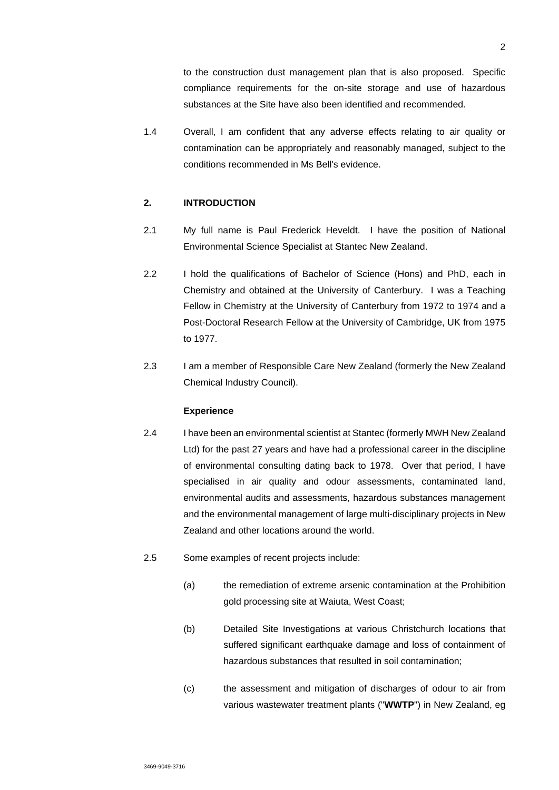to the construction dust management plan that is also proposed. Specific compliance requirements for the on-site storage and use of hazardous substances at the Site have also been identified and recommended.

1.4 Overall, I am confident that any adverse effects relating to air quality or contamination can be appropriately and reasonably managed, subject to the conditions recommended in Ms Bell's evidence.

## **2. INTRODUCTION**

- 2.1 My full name is Paul Frederick Heveldt. I have the position of National Environmental Science Specialist at Stantec New Zealand.
- 2.2 I hold the qualifications of Bachelor of Science (Hons) and PhD, each in Chemistry and obtained at the University of Canterbury. I was a Teaching Fellow in Chemistry at the University of Canterbury from 1972 to 1974 and a Post-Doctoral Research Fellow at the University of Cambridge, UK from 1975 to 1977.
- 2.3 I am a member of Responsible Care New Zealand (formerly the New Zealand Chemical Industry Council).

#### **Experience**

- 2.4 I have been an environmental scientist at Stantec (formerly MWH New Zealand Ltd) for the past 27 years and have had a professional career in the discipline of environmental consulting dating back to 1978. Over that period, I have specialised in air quality and odour assessments, contaminated land, environmental audits and assessments, hazardous substances management and the environmental management of large multi-disciplinary projects in New Zealand and other locations around the world.
- 2.5 Some examples of recent projects include:
	- (a) the remediation of extreme arsenic contamination at the Prohibition gold processing site at Waiuta, West Coast;
	- (b) Detailed Site Investigations at various Christchurch locations that suffered significant earthquake damage and loss of containment of hazardous substances that resulted in soil contamination;
	- (c) the assessment and mitigation of discharges of odour to air from various wastewater treatment plants ("**WWTP**") in New Zealand, eg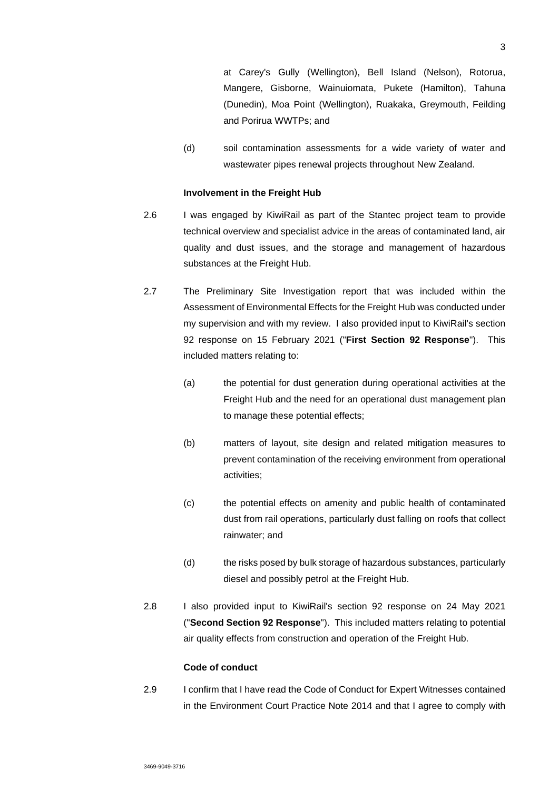at Carey's Gully (Wellington), Bell Island (Nelson), Rotorua, Mangere, Gisborne, Wainuiomata, Pukete (Hamilton), Tahuna (Dunedin), Moa Point (Wellington), Ruakaka, Greymouth, Feilding and Porirua WWTPs; and

(d) soil contamination assessments for a wide variety of water and wastewater pipes renewal projects throughout New Zealand.

### **Involvement in the Freight Hub**

- 2.6 I was engaged by KiwiRail as part of the Stantec project team to provide technical overview and specialist advice in the areas of contaminated land, air quality and dust issues, and the storage and management of hazardous substances at the Freight Hub.
- 2.7 The Preliminary Site Investigation report that was included within the Assessment of Environmental Effects for the Freight Hub was conducted under my supervision and with my review. I also provided input to KiwiRail's section 92 response on 15 February 2021 ("**First Section 92 Response**"). This included matters relating to:
	- (a) the potential for dust generation during operational activities at the Freight Hub and the need for an operational dust management plan to manage these potential effects;
	- (b) matters of layout, site design and related mitigation measures to prevent contamination of the receiving environment from operational activities;
	- (c) the potential effects on amenity and public health of contaminated dust from rail operations, particularly dust falling on roofs that collect rainwater; and
	- (d) the risks posed by bulk storage of hazardous substances, particularly diesel and possibly petrol at the Freight Hub.
- 2.8 I also provided input to KiwiRail's section 92 response on 24 May 2021 ("**Second Section 92 Response**"). This included matters relating to potential air quality effects from construction and operation of the Freight Hub.

### **Code of conduct**

2.9 I confirm that I have read the Code of Conduct for Expert Witnesses contained in the Environment Court Practice Note 2014 and that I agree to comply with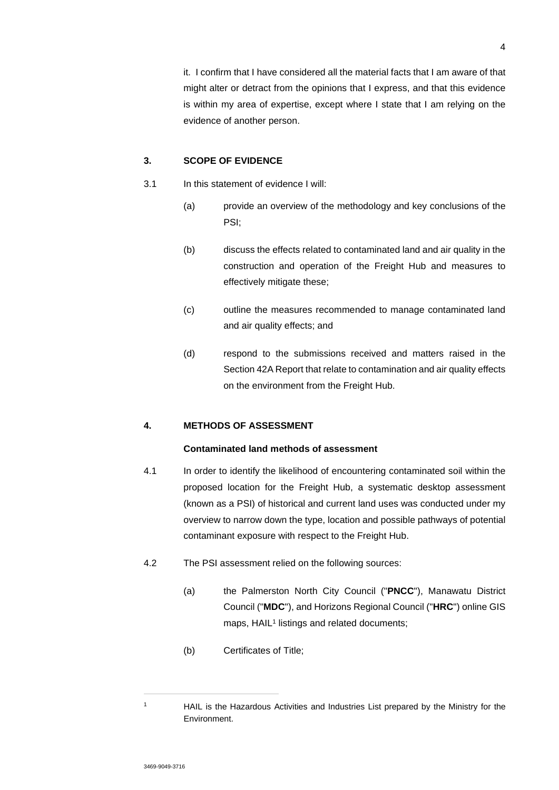4

it. I confirm that I have considered all the material facts that I am aware of that might alter or detract from the opinions that I express, and that this evidence is within my area of expertise, except where I state that I am relying on the evidence of another person.

## **3. SCOPE OF EVIDENCE**

- 3.1 In this statement of evidence I will:
	- (a) provide an overview of the methodology and key conclusions of the PSI;
	- (b) discuss the effects related to contaminated land and air quality in the construction and operation of the Freight Hub and measures to effectively mitigate these;
	- (c) outline the measures recommended to manage contaminated land and air quality effects; and
	- (d) respond to the submissions received and matters raised in the Section 42A Report that relate to contamination and air quality effects on the environment from the Freight Hub.

## **4. METHODS OF ASSESSMENT**

## **Contaminated land methods of assessment**

- 4.1 In order to identify the likelihood of encountering contaminated soil within the proposed location for the Freight Hub, a systematic desktop assessment (known as a PSI) of historical and current land uses was conducted under my overview to narrow down the type, location and possible pathways of potential contaminant exposure with respect to the Freight Hub.
- 4.2 The PSI assessment relied on the following sources:
	- (a) the Palmerston North City Council ("**PNCC**"), Manawatu District Council ("**MDC**"), and Horizons Regional Council ("**HRC**") online GIS maps, HAIL<sup>1</sup> listings and related documents;
	- (b) Certificates of Title;

<sup>1</sup> HAIL is the Hazardous Activities and Industries List prepared by the Ministry for the Environment.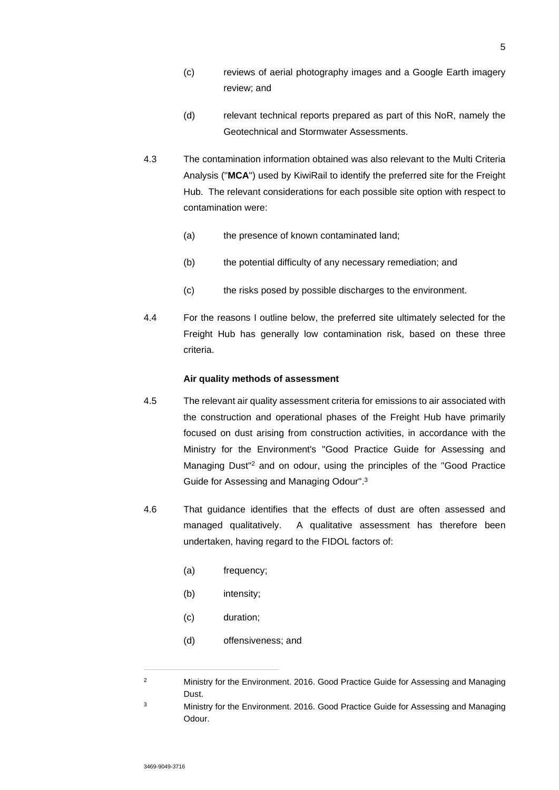- (c) reviews of aerial photography images and a Google Earth imagery review; and
- (d) relevant technical reports prepared as part of this NoR, namely the Geotechnical and Stormwater Assessments.
- 4.3 The contamination information obtained was also relevant to the Multi Criteria Analysis ("**MCA**") used by KiwiRail to identify the preferred site for the Freight Hub. The relevant considerations for each possible site option with respect to contamination were:
	- (a) the presence of known contaminated land;
	- (b) the potential difficulty of any necessary remediation; and
	- (c) the risks posed by possible discharges to the environment.
- 4.4 For the reasons I outline below, the preferred site ultimately selected for the Freight Hub has generally low contamination risk, based on these three criteria.

### **Air quality methods of assessment**

- 4.5 The relevant air quality assessment criteria for emissions to air associated with the construction and operational phases of the Freight Hub have primarily focused on dust arising from construction activities, in accordance with the Ministry for the Environment's "Good Practice Guide for Assessing and Managing Dust<sup>"2</sup> and on odour, using the principles of the "Good Practice Guide for Assessing and Managing Odour".<sup>3</sup>
- 4.6 That guidance identifies that the effects of dust are often assessed and managed qualitatively. A qualitative assessment has therefore been undertaken, having regard to the FIDOL factors of:
	- (a) frequency;
	- (b) intensity;
	- (c) duration;
	- (d) offensiveness; and

<sup>&</sup>lt;sup>2</sup> Ministry for the Environment. 2016. Good Practice Guide for Assessing and Managing Dust.

<sup>&</sup>lt;sup>3</sup> Ministry for the Environment. 2016. Good Practice Guide for Assessing and Managing Odour.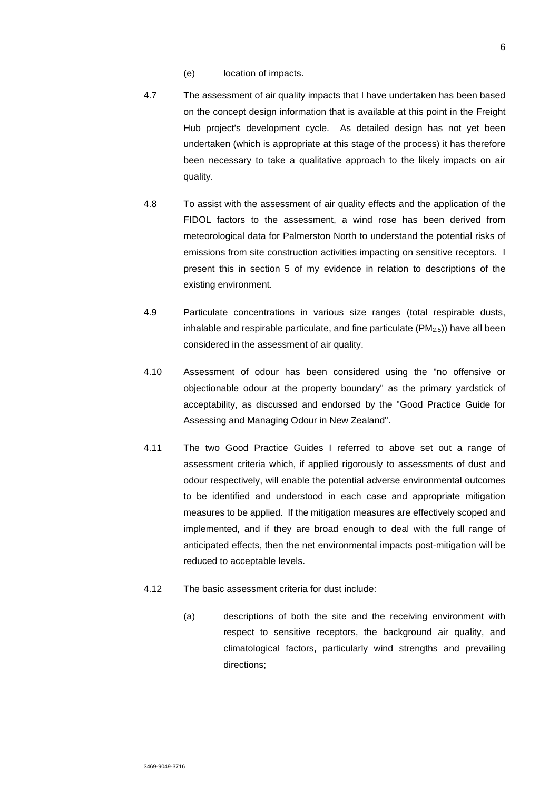- (e) location of impacts.
- 4.7 The assessment of air quality impacts that I have undertaken has been based on the concept design information that is available at this point in the Freight Hub project's development cycle. As detailed design has not yet been undertaken (which is appropriate at this stage of the process) it has therefore been necessary to take a qualitative approach to the likely impacts on air quality.
- 4.8 To assist with the assessment of air quality effects and the application of the FIDOL factors to the assessment, a wind rose has been derived from meteorological data for Palmerston North to understand the potential risks of emissions from site construction activities impacting on sensitive receptors. I present this in section 5 of my evidence in relation to descriptions of the existing environment.
- 4.9 Particulate concentrations in various size ranges (total respirable dusts, inhalable and respirable particulate, and fine particulate  $(PM_{2.5})$  have all been considered in the assessment of air quality.
- 4.10 Assessment of odour has been considered using the "no offensive or objectionable odour at the property boundary" as the primary yardstick of acceptability, as discussed and endorsed by the "Good Practice Guide for Assessing and Managing Odour in New Zealand".
- 4.11 The two Good Practice Guides I referred to above set out a range of assessment criteria which, if applied rigorously to assessments of dust and odour respectively, will enable the potential adverse environmental outcomes to be identified and understood in each case and appropriate mitigation measures to be applied. If the mitigation measures are effectively scoped and implemented, and if they are broad enough to deal with the full range of anticipated effects, then the net environmental impacts post-mitigation will be reduced to acceptable levels.
- 4.12 The basic assessment criteria for dust include:
	- (a) descriptions of both the site and the receiving environment with respect to sensitive receptors, the background air quality, and climatological factors, particularly wind strengths and prevailing directions;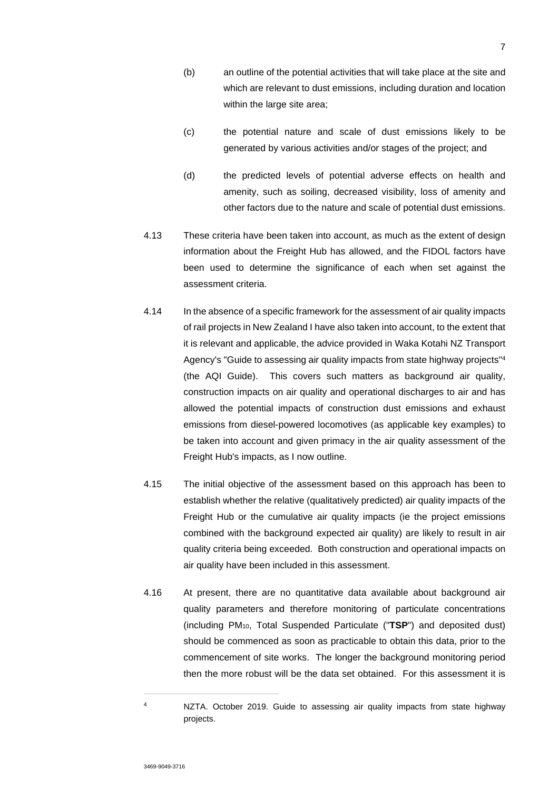- (b) an outline of the potential activities that will take place at the site and which are relevant to dust emissions, including duration and location within the large site area;
- (c) the potential nature and scale of dust emissions likely to be generated by various activities and/or stages of the project; and
- (d) the predicted levels of potential adverse effects on health and amenity, such as soiling, decreased visibility, loss of amenity and other factors due to the nature and scale of potential dust emissions.
- 4.13 These criteria have been taken into account, as much as the extent of design information about the Freight Hub has allowed, and the FIDOL factors have been used to determine the significance of each when set against the assessment criteria.
- 4.14 In the absence of a specific framework for the assessment of air quality impacts of rail projects in New Zealand I have also taken into account, to the extent that it is relevant and applicable, the advice provided in Waka Kotahi NZ Transport Agency's "Guide to assessing air quality impacts from state highway projects"<sup>4</sup> (the AQI Guide). This covers such matters as background air quality, construction impacts on air quality and operational discharges to air and has allowed the potential impacts of construction dust emissions and exhaust emissions from diesel-powered locomotives (as applicable key examples) to be taken into account and given primacy in the air quality assessment of the Freight Hub's impacts, as I now outline.
- 4.15 The initial objective of the assessment based on this approach has been to establish whether the relative (qualitatively predicted) air quality impacts of the Freight Hub or the cumulative air quality impacts (ie the project emissions combined with the background expected air quality) are likely to result in air quality criteria being exceeded. Both construction and operational impacts on air quality have been included in this assessment.
- 4.16 At present, there are no quantitative data available about background air quality parameters and therefore monitoring of particulate concentrations (including PM10, Total Suspended Particulate ("**TSP**") and deposited dust) should be commenced as soon as practicable to obtain this data, prior to the commencement of site works. The longer the background monitoring period then the more robust will be the data set obtained. For this assessment it is

<sup>4</sup> NZTA. October 2019. Guide to assessing air quality impacts from state highway projects.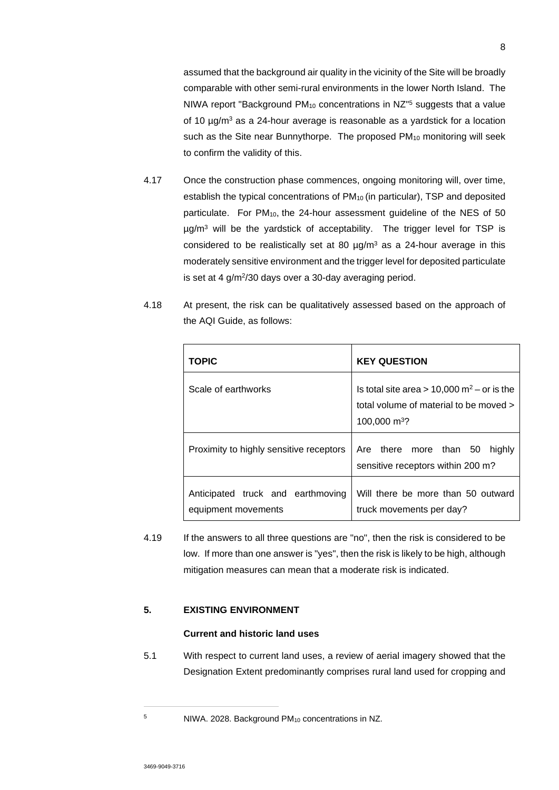assumed that the background air quality in the vicinity of the Site will be broadly comparable with other semi-rural environments in the lower North Island. The NIWA report "Background PM<sub>10</sub> concentrations in NZ<sup>"5</sup> suggests that a value of 10 µg/m<sup>3</sup> as a 24-hour average is reasonable as a yardstick for a location such as the Site near Bunnythorpe. The proposed PM<sub>10</sub> monitoring will seek to confirm the validity of this.

- 4.17 Once the construction phase commences, ongoing monitoring will, over time, establish the typical concentrations of PM<sub>10</sub> (in particular), TSP and deposited particulate. For  $PM_{10}$ , the 24-hour assessment quideline of the NES of 50 µg/m<sup>3</sup> will be the yardstick of acceptability. The trigger level for TSP is considered to be realistically set at 80  $\mu$ g/m<sup>3</sup> as a 24-hour average in this moderately sensitive environment and the trigger level for deposited particulate is set at 4 g/m<sup>2</sup> /30 days over a 30-day averaging period.
- 4.18 At present, the risk can be qualitatively assessed based on the approach of the AQI Guide, as follows:

| <b>TOPIC</b>                                             | <b>KEY QUESTION</b>                                                                                                            |
|----------------------------------------------------------|--------------------------------------------------------------------------------------------------------------------------------|
| Scale of earthworks                                      | Is total site area $> 10,000$ m <sup>2</sup> – or is the<br>total volume of material to be moved ><br>100,000 m <sup>3</sup> ? |
| Proximity to highly sensitive receptors                  | Are there more than 50<br>highly<br>sensitive receptors within 200 m?                                                          |
| Anticipated truck and earthmoving<br>equipment movements | Will there be more than 50 outward<br>truck movements per day?                                                                 |

4.19 If the answers to all three questions are "no", then the risk is considered to be low. If more than one answer is "yes", then the risk is likely to be high, although mitigation measures can mean that a moderate risk is indicated.

## **5. EXISTING ENVIRONMENT**

## **Current and historic land uses**

5.1 With respect to current land uses, a review of aerial imagery showed that the Designation Extent predominantly comprises rural land used for cropping and

<sup>5</sup> NIWA. 2028. Background PM10 concentrations in NZ.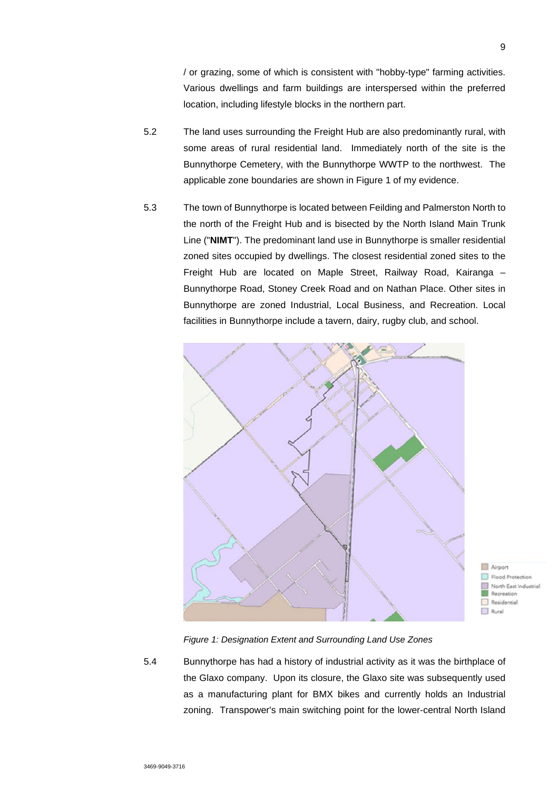/ or grazing, some of which is consistent with "hobby-type" farming activities. Various dwellings and farm buildings are interspersed within the preferred location, including lifestyle blocks in the northern part.

- 5.2 The land uses surrounding the Freight Hub are also predominantly rural, with some areas of rural residential land. Immediately north of the site is the Bunnythorpe Cemetery, with the Bunnythorpe WWTP to the northwest. The applicable zone boundaries are shown in Figure 1 of my evidence.
- 5.3 The town of Bunnythorpe is located between Feilding and Palmerston North to the north of the Freight Hub and is bisected by the North Island Main Trunk Line ("**NIMT**"). The predominant land use in Bunnythorpe is smaller residential zoned sites occupied by dwellings. The closest residential zoned sites to the Freight Hub are located on Maple Street, Railway Road, Kairanga – Bunnythorpe Road, Stoney Creek Road and on Nathan Place. Other sites in Bunnythorpe are zoned Industrial, Local Business, and Recreation. Local facilities in Bunnythorpe include a tavern, dairy, rugby club, and school.



Flood Protection North Fast Industrial Recreation Residential Rural

*Figure 1: Designation Extent and Surrounding Land Use Zones* 

5.4 Bunnythorpe has had a history of industrial activity as it was the birthplace of the Glaxo company. Upon its closure, the Glaxo site was subsequently used as a manufacturing plant for BMX bikes and currently holds an Industrial zoning. Transpower's main switching point for the lower-central North Island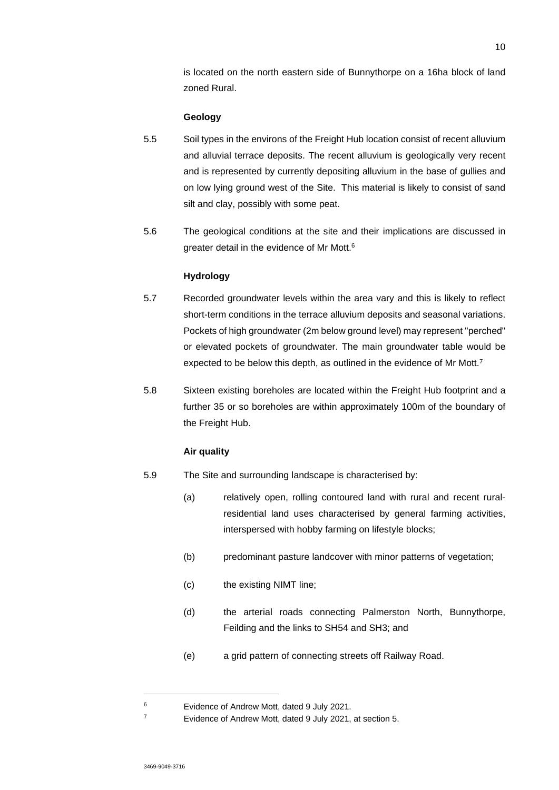is located on the north eastern side of Bunnythorpe on a 16ha block of land zoned Rural.

### **Geology**

- 5.5 Soil types in the environs of the Freight Hub location consist of recent alluvium and alluvial terrace deposits. The recent alluvium is geologically very recent and is represented by currently depositing alluvium in the base of gullies and on low lying ground west of the Site. This material is likely to consist of sand silt and clay, possibly with some peat.
- 5.6 The geological conditions at the site and their implications are discussed in greater detail in the evidence of Mr Mott.<sup>6</sup>

#### **Hydrology**

- 5.7 Recorded groundwater levels within the area vary and this is likely to reflect short-term conditions in the terrace alluvium deposits and seasonal variations. Pockets of high groundwater (2m below ground level) may represent "perched" or elevated pockets of groundwater. The main groundwater table would be expected to be below this depth, as outlined in the evidence of Mr Mott.<sup>7</sup>
- 5.8 Sixteen existing boreholes are located within the Freight Hub footprint and a further 35 or so boreholes are within approximately 100m of the boundary of the Freight Hub.

#### **Air quality**

- 5.9 The Site and surrounding landscape is characterised by:
	- (a) relatively open, rolling contoured land with rural and recent ruralresidential land uses characterised by general farming activities, interspersed with hobby farming on lifestyle blocks;
	- (b) predominant pasture landcover with minor patterns of vegetation;
	- (c) the existing NIMT line;
	- (d) the arterial roads connecting Palmerston North, Bunnythorpe, Feilding and the links to SH54 and SH3; and
	- (e) a grid pattern of connecting streets off Railway Road.

<sup>6</sup> Evidence of Andrew Mott, dated 9 July 2021.

<sup>7</sup> Evidence of Andrew Mott, dated 9 July 2021, at section 5.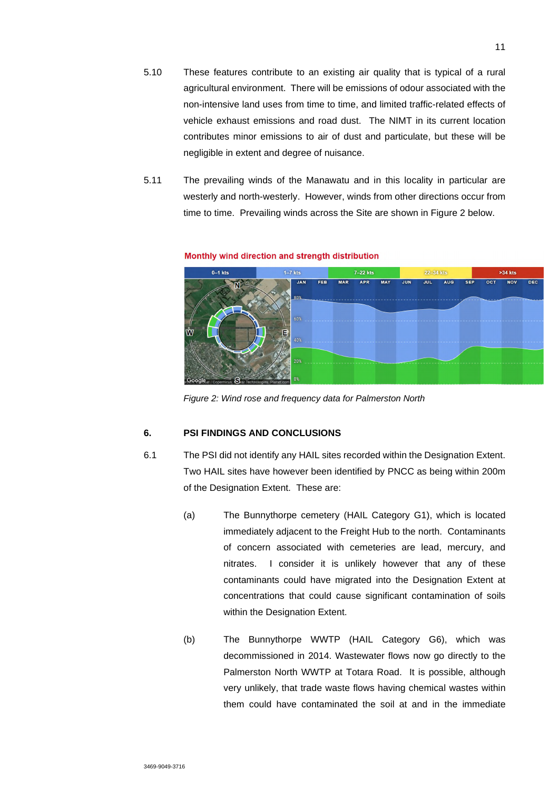- 5.10 These features contribute to an existing air quality that is typical of a rural agricultural environment. There will be emissions of odour associated with the non-intensive land uses from time to time, and limited traffic-related effects of vehicle exhaust emissions and road dust. The NIMT in its current location contributes minor emissions to air of dust and particulate, but these will be negligible in extent and degree of nuisance.
- 5.11 The prevailing winds of the Manawatu and in this locality in particular are westerly and north-westerly. However, winds from other directions occur from time to time. Prevailing winds across the Site are shown in Figure 2 below.



#### Monthly wind direction and strength distribution

*Figure 2: Wind rose and frequency data for Palmerston North* 

## **6. PSI FINDINGS AND CONCLUSIONS**

- 6.1 The PSI did not identify any HAIL sites recorded within the Designation Extent. Two HAIL sites have however been identified by PNCC as being within 200m of the Designation Extent. These are:
	- (a) The Bunnythorpe cemetery (HAIL Category G1), which is located immediately adjacent to the Freight Hub to the north. Contaminants of concern associated with cemeteries are lead, mercury, and nitrates. I consider it is unlikely however that any of these contaminants could have migrated into the Designation Extent at concentrations that could cause significant contamination of soils within the Designation Extent.
	- (b) The Bunnythorpe WWTP (HAIL Category G6), which was decommissioned in 2014. Wastewater flows now go directly to the Palmerston North WWTP at Totara Road. It is possible, although very unlikely, that trade waste flows having chemical wastes within them could have contaminated the soil at and in the immediate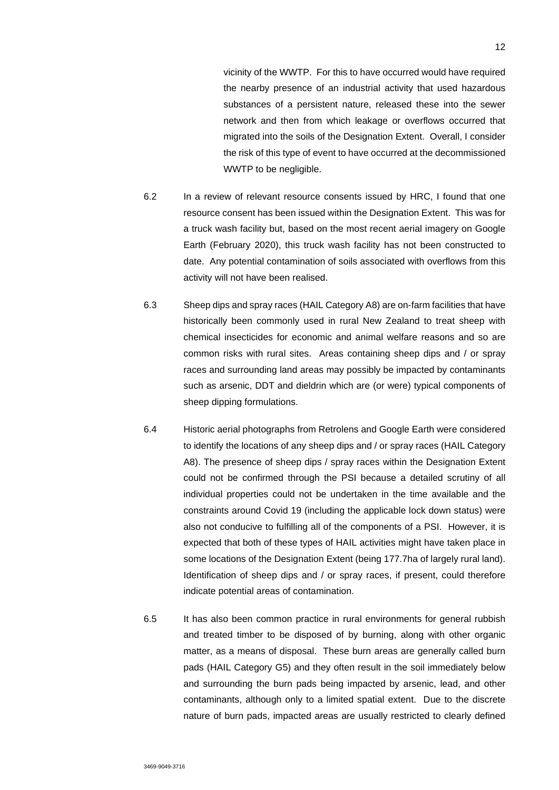vicinity of the WWTP. For this to have occurred would have required the nearby presence of an industrial activity that used hazardous substances of a persistent nature, released these into the sewer network and then from which leakage or overflows occurred that migrated into the soils of the Designation Extent. Overall, I consider the risk of this type of event to have occurred at the decommissioned WWTP to be negligible.

- 6.2 In a review of relevant resource consents issued by HRC, I found that one resource consent has been issued within the Designation Extent. This was for a truck wash facility but, based on the most recent aerial imagery on Google Earth (February 2020), this truck wash facility has not been constructed to date. Any potential contamination of soils associated with overflows from this activity will not have been realised.
- 6.3 Sheep dips and spray races (HAIL Category A8) are on-farm facilities that have historically been commonly used in rural New Zealand to treat sheep with chemical insecticides for economic and animal welfare reasons and so are common risks with rural sites. Areas containing sheep dips and / or spray races and surrounding land areas may possibly be impacted by contaminants such as arsenic, DDT and dieldrin which are (or were) typical components of sheep dipping formulations.
- 6.4 Historic aerial photographs from Retrolens and Google Earth were considered to identify the locations of any sheep dips and / or spray races (HAIL Category A8). The presence of sheep dips / spray races within the Designation Extent could not be confirmed through the PSI because a detailed scrutiny of all individual properties could not be undertaken in the time available and the constraints around Covid 19 (including the applicable lock down status) were also not conducive to fulfilling all of the components of a PSI. However, it is expected that both of these types of HAIL activities might have taken place in some locations of the Designation Extent (being 177.7ha of largely rural land). Identification of sheep dips and / or spray races, if present, could therefore indicate potential areas of contamination.
- 6.5 It has also been common practice in rural environments for general rubbish and treated timber to be disposed of by burning, along with other organic matter, as a means of disposal. These burn areas are generally called burn pads (HAIL Category G5) and they often result in the soil immediately below and surrounding the burn pads being impacted by arsenic, lead, and other contaminants, although only to a limited spatial extent. Due to the discrete nature of burn pads, impacted areas are usually restricted to clearly defined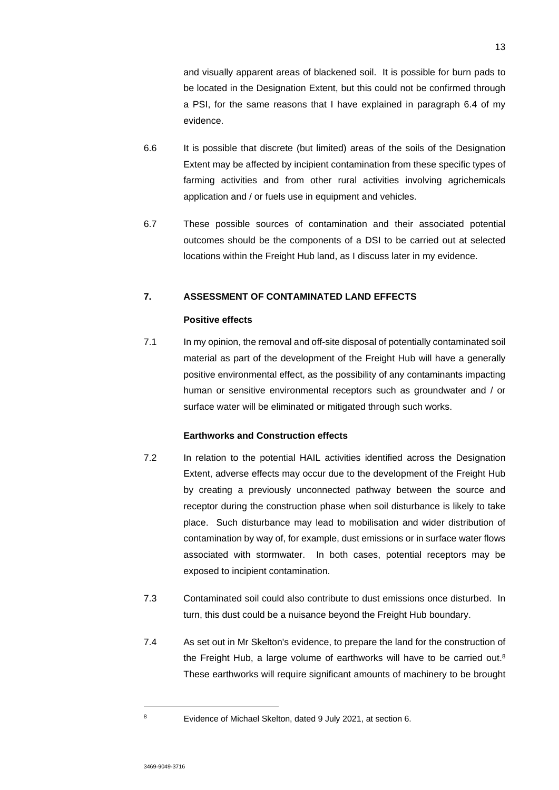and visually apparent areas of blackened soil. It is possible for burn pads to be located in the Designation Extent, but this could not be confirmed through a PSI, for the same reasons that I have explained in paragraph 6.4 of my evidence.

- 6.6 It is possible that discrete (but limited) areas of the soils of the Designation Extent may be affected by incipient contamination from these specific types of farming activities and from other rural activities involving agrichemicals application and / or fuels use in equipment and vehicles.
- 6.7 These possible sources of contamination and their associated potential outcomes should be the components of a DSI to be carried out at selected locations within the Freight Hub land, as I discuss later in my evidence.

## **7. ASSESSMENT OF CONTAMINATED LAND EFFECTS**

### **Positive effects**

7.1 In my opinion, the removal and off-site disposal of potentially contaminated soil material as part of the development of the Freight Hub will have a generally positive environmental effect, as the possibility of any contaminants impacting human or sensitive environmental receptors such as groundwater and / or surface water will be eliminated or mitigated through such works.

### **Earthworks and Construction effects**

- 7.2 In relation to the potential HAIL activities identified across the Designation Extent, adverse effects may occur due to the development of the Freight Hub by creating a previously unconnected pathway between the source and receptor during the construction phase when soil disturbance is likely to take place. Such disturbance may lead to mobilisation and wider distribution of contamination by way of, for example, dust emissions or in surface water flows associated with stormwater. In both cases, potential receptors may be exposed to incipient contamination.
- 7.3 Contaminated soil could also contribute to dust emissions once disturbed. In turn, this dust could be a nuisance beyond the Freight Hub boundary.
- 7.4 As set out in Mr Skelton's evidence, to prepare the land for the construction of the Freight Hub, a large volume of earthworks will have to be carried out.<sup>8</sup> These earthworks will require significant amounts of machinery to be brought

<sup>8</sup> Evidence of Michael Skelton, dated 9 July 2021, at section 6.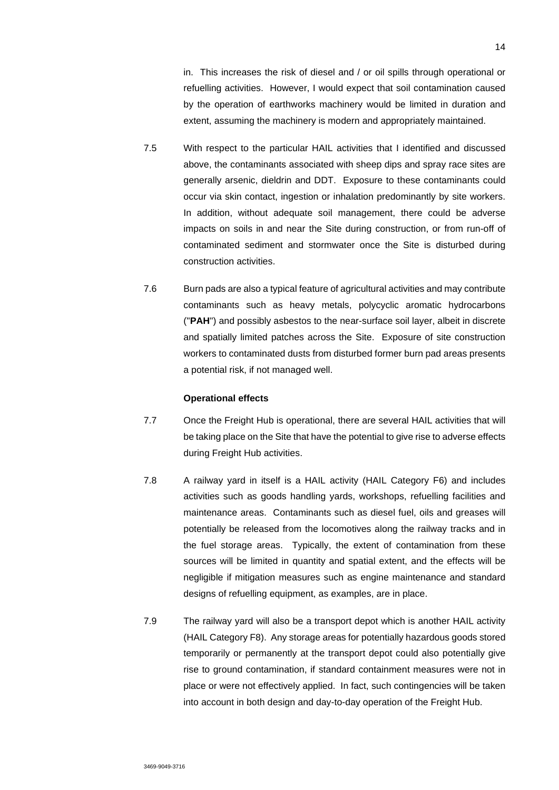in. This increases the risk of diesel and / or oil spills through operational or refuelling activities. However, I would expect that soil contamination caused by the operation of earthworks machinery would be limited in duration and extent, assuming the machinery is modern and appropriately maintained.

- 7.5 With respect to the particular HAIL activities that I identified and discussed above, the contaminants associated with sheep dips and spray race sites are generally arsenic, dieldrin and DDT. Exposure to these contaminants could occur via skin contact, ingestion or inhalation predominantly by site workers. In addition, without adequate soil management, there could be adverse impacts on soils in and near the Site during construction, or from run-off of contaminated sediment and stormwater once the Site is disturbed during construction activities.
- 7.6 Burn pads are also a typical feature of agricultural activities and may contribute contaminants such as heavy metals, polycyclic aromatic hydrocarbons ("**PAH**") and possibly asbestos to the near-surface soil layer, albeit in discrete and spatially limited patches across the Site. Exposure of site construction workers to contaminated dusts from disturbed former burn pad areas presents a potential risk, if not managed well.

#### **Operational effects**

- 7.7 Once the Freight Hub is operational, there are several HAIL activities that will be taking place on the Site that have the potential to give rise to adverse effects during Freight Hub activities.
- 7.8 A railway yard in itself is a HAIL activity (HAIL Category F6) and includes activities such as goods handling yards, workshops, refuelling facilities and maintenance areas. Contaminants such as diesel fuel, oils and greases will potentially be released from the locomotives along the railway tracks and in the fuel storage areas. Typically, the extent of contamination from these sources will be limited in quantity and spatial extent, and the effects will be negligible if mitigation measures such as engine maintenance and standard designs of refuelling equipment, as examples, are in place.
- 7.9 The railway yard will also be a transport depot which is another HAIL activity (HAIL Category F8). Any storage areas for potentially hazardous goods stored temporarily or permanently at the transport depot could also potentially give rise to ground contamination, if standard containment measures were not in place or were not effectively applied. In fact, such contingencies will be taken into account in both design and day-to-day operation of the Freight Hub.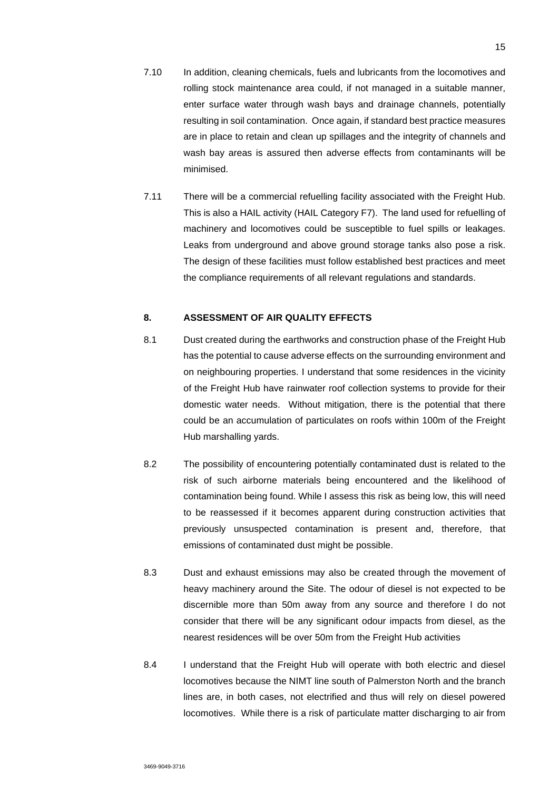- 7.10 In addition, cleaning chemicals, fuels and lubricants from the locomotives and rolling stock maintenance area could, if not managed in a suitable manner, enter surface water through wash bays and drainage channels, potentially resulting in soil contamination. Once again, if standard best practice measures are in place to retain and clean up spillages and the integrity of channels and wash bay areas is assured then adverse effects from contaminants will be minimised.
- 7.11 There will be a commercial refuelling facility associated with the Freight Hub. This is also a HAIL activity (HAIL Category F7). The land used for refuelling of machinery and locomotives could be susceptible to fuel spills or leakages. Leaks from underground and above ground storage tanks also pose a risk. The design of these facilities must follow established best practices and meet the compliance requirements of all relevant regulations and standards.

### **8. ASSESSMENT OF AIR QUALITY EFFECTS**

- 8.1 Dust created during the earthworks and construction phase of the Freight Hub has the potential to cause adverse effects on the surrounding environment and on neighbouring properties. I understand that some residences in the vicinity of the Freight Hub have rainwater roof collection systems to provide for their domestic water needs. Without mitigation, there is the potential that there could be an accumulation of particulates on roofs within 100m of the Freight Hub marshalling yards.
- 8.2 The possibility of encountering potentially contaminated dust is related to the risk of such airborne materials being encountered and the likelihood of contamination being found. While I assess this risk as being low, this will need to be reassessed if it becomes apparent during construction activities that previously unsuspected contamination is present and, therefore, that emissions of contaminated dust might be possible.
- 8.3 Dust and exhaust emissions may also be created through the movement of heavy machinery around the Site. The odour of diesel is not expected to be discernible more than 50m away from any source and therefore I do not consider that there will be any significant odour impacts from diesel, as the nearest residences will be over 50m from the Freight Hub activities
- 8.4 I understand that the Freight Hub will operate with both electric and diesel locomotives because the NIMT line south of Palmerston North and the branch lines are, in both cases, not electrified and thus will rely on diesel powered locomotives. While there is a risk of particulate matter discharging to air from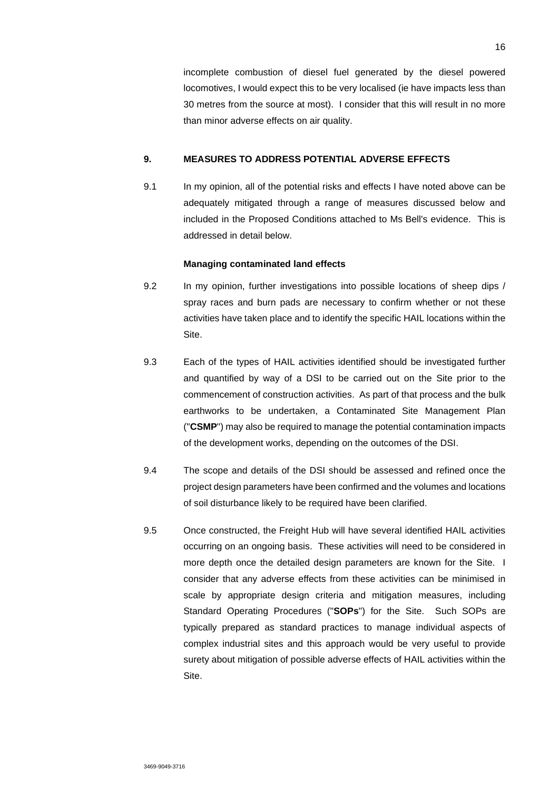incomplete combustion of diesel fuel generated by the diesel powered locomotives, I would expect this to be very localised (ie have impacts less than 30 metres from the source at most). I consider that this will result in no more than minor adverse effects on air quality.

### **9. MEASURES TO ADDRESS POTENTIAL ADVERSE EFFECTS**

9.1 In my opinion, all of the potential risks and effects I have noted above can be adequately mitigated through a range of measures discussed below and included in the Proposed Conditions attached to Ms Bell's evidence. This is addressed in detail below.

### **Managing contaminated land effects**

- 9.2 In my opinion, further investigations into possible locations of sheep dips / spray races and burn pads are necessary to confirm whether or not these activities have taken place and to identify the specific HAIL locations within the Site.
- 9.3 Each of the types of HAIL activities identified should be investigated further and quantified by way of a DSI to be carried out on the Site prior to the commencement of construction activities. As part of that process and the bulk earthworks to be undertaken, a Contaminated Site Management Plan ("**CSMP**") may also be required to manage the potential contamination impacts of the development works, depending on the outcomes of the DSI.
- 9.4 The scope and details of the DSI should be assessed and refined once the project design parameters have been confirmed and the volumes and locations of soil disturbance likely to be required have been clarified.
- 9.5 Once constructed, the Freight Hub will have several identified HAIL activities occurring on an ongoing basis. These activities will need to be considered in more depth once the detailed design parameters are known for the Site. I consider that any adverse effects from these activities can be minimised in scale by appropriate design criteria and mitigation measures, including Standard Operating Procedures ("**SOPs**") for the Site. Such SOPs are typically prepared as standard practices to manage individual aspects of complex industrial sites and this approach would be very useful to provide surety about mitigation of possible adverse effects of HAIL activities within the Site.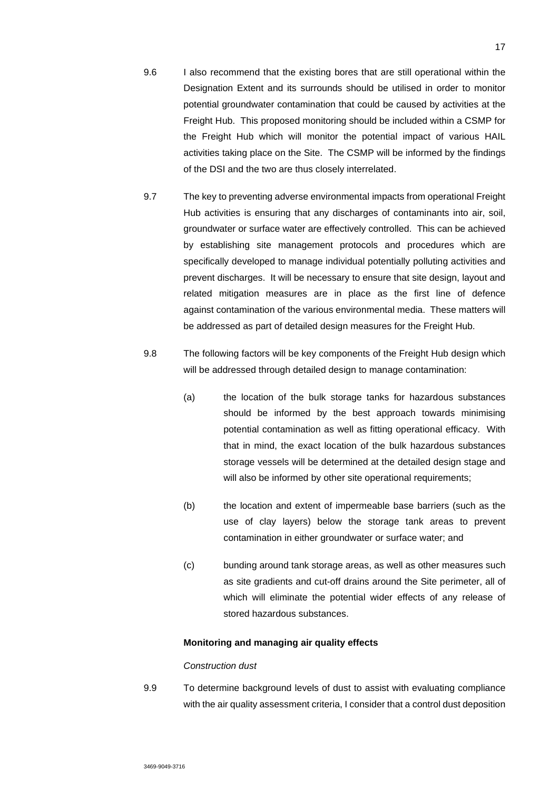- 9.6 I also recommend that the existing bores that are still operational within the Designation Extent and its surrounds should be utilised in order to monitor potential groundwater contamination that could be caused by activities at the Freight Hub. This proposed monitoring should be included within a CSMP for the Freight Hub which will monitor the potential impact of various HAIL activities taking place on the Site. The CSMP will be informed by the findings of the DSI and the two are thus closely interrelated.
- 9.7 The key to preventing adverse environmental impacts from operational Freight Hub activities is ensuring that any discharges of contaminants into air, soil, groundwater or surface water are effectively controlled. This can be achieved by establishing site management protocols and procedures which are specifically developed to manage individual potentially polluting activities and prevent discharges. It will be necessary to ensure that site design, layout and related mitigation measures are in place as the first line of defence against contamination of the various environmental media. These matters will be addressed as part of detailed design measures for the Freight Hub.
- 9.8 The following factors will be key components of the Freight Hub design which will be addressed through detailed design to manage contamination:
	- (a) the location of the bulk storage tanks for hazardous substances should be informed by the best approach towards minimising potential contamination as well as fitting operational efficacy. With that in mind, the exact location of the bulk hazardous substances storage vessels will be determined at the detailed design stage and will also be informed by other site operational requirements;
	- (b) the location and extent of impermeable base barriers (such as the use of clay layers) below the storage tank areas to prevent contamination in either groundwater or surface water; and
	- (c) bunding around tank storage areas, as well as other measures such as site gradients and cut-off drains around the Site perimeter, all of which will eliminate the potential wider effects of any release of stored hazardous substances.

### **Monitoring and managing air quality effects**

#### *Construction dust*

9.9 To determine background levels of dust to assist with evaluating compliance with the air quality assessment criteria, I consider that a control dust deposition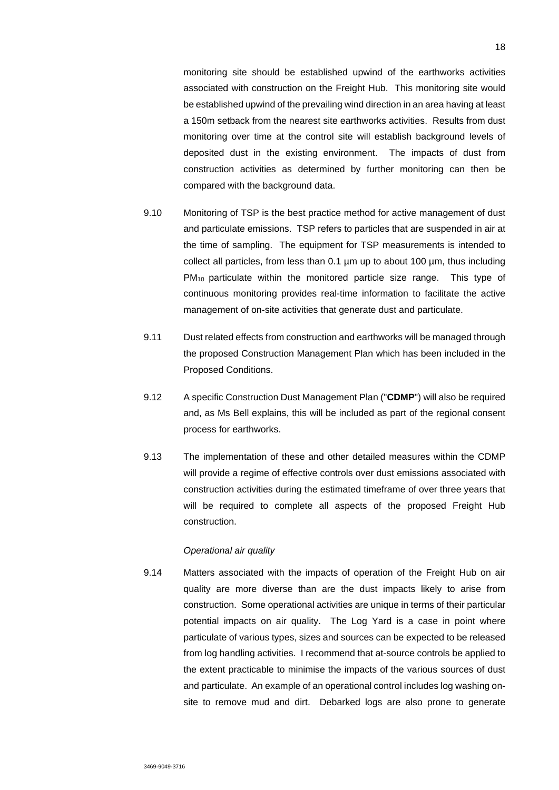monitoring site should be established upwind of the earthworks activities associated with construction on the Freight Hub. This monitoring site would be established upwind of the prevailing wind direction in an area having at least a 150m setback from the nearest site earthworks activities. Results from dust monitoring over time at the control site will establish background levels of deposited dust in the existing environment. The impacts of dust from construction activities as determined by further monitoring can then be compared with the background data.

- 9.10 Monitoring of TSP is the best practice method for active management of dust and particulate emissions. TSP refers to particles that are suspended in air at the time of sampling. The equipment for TSP measurements is intended to collect all particles, from less than 0.1 µm up to about 100 µm, thus including PM<sub>10</sub> particulate within the monitored particle size range. This type of continuous monitoring provides real-time information to facilitate the active management of on-site activities that generate dust and particulate.
- 9.11 Dust related effects from construction and earthworks will be managed through the proposed Construction Management Plan which has been included in the Proposed Conditions.
- 9.12 A specific Construction Dust Management Plan ("**CDMP**") will also be required and, as Ms Bell explains, this will be included as part of the regional consent process for earthworks.
- 9.13 The implementation of these and other detailed measures within the CDMP will provide a regime of effective controls over dust emissions associated with construction activities during the estimated timeframe of over three years that will be required to complete all aspects of the proposed Freight Hub construction.

### *Operational air quality*

9.14 Matters associated with the impacts of operation of the Freight Hub on air quality are more diverse than are the dust impacts likely to arise from construction. Some operational activities are unique in terms of their particular potential impacts on air quality. The Log Yard is a case in point where particulate of various types, sizes and sources can be expected to be released from log handling activities. I recommend that at-source controls be applied to the extent practicable to minimise the impacts of the various sources of dust and particulate. An example of an operational control includes log washing onsite to remove mud and dirt. Debarked logs are also prone to generate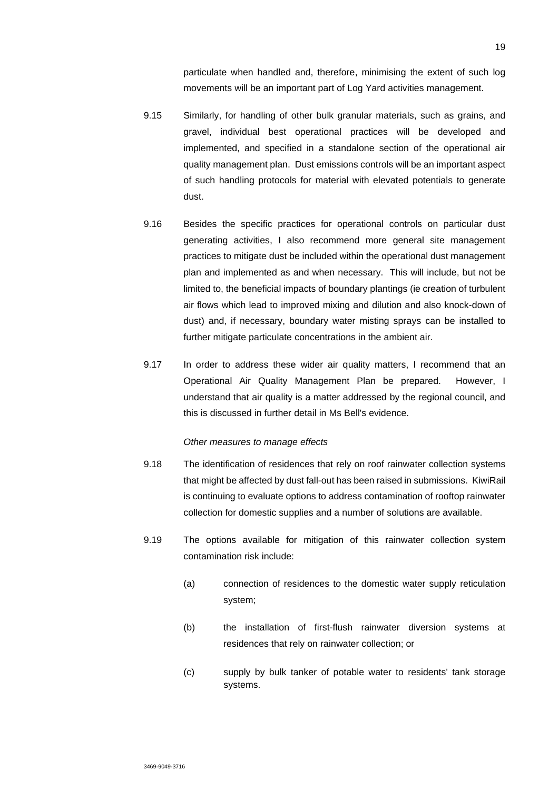particulate when handled and, therefore, minimising the extent of such log movements will be an important part of Log Yard activities management.

- 9.15 Similarly, for handling of other bulk granular materials, such as grains, and gravel, individual best operational practices will be developed and implemented, and specified in a standalone section of the operational air quality management plan. Dust emissions controls will be an important aspect of such handling protocols for material with elevated potentials to generate dust.
- 9.16 Besides the specific practices for operational controls on particular dust generating activities, I also recommend more general site management practices to mitigate dust be included within the operational dust management plan and implemented as and when necessary. This will include, but not be limited to, the beneficial impacts of boundary plantings (ie creation of turbulent air flows which lead to improved mixing and dilution and also knock-down of dust) and, if necessary, boundary water misting sprays can be installed to further mitigate particulate concentrations in the ambient air.
- 9.17 In order to address these wider air quality matters, I recommend that an Operational Air Quality Management Plan be prepared. However, I understand that air quality is a matter addressed by the regional council, and this is discussed in further detail in Ms Bell's evidence.

#### *Other measures to manage effects*

- 9.18 The identification of residences that rely on roof rainwater collection systems that might be affected by dust fall-out has been raised in submissions. KiwiRail is continuing to evaluate options to address contamination of rooftop rainwater collection for domestic supplies and a number of solutions are available.
- 9.19 The options available for mitigation of this rainwater collection system contamination risk include:
	- (a) connection of residences to the domestic water supply reticulation system;
	- (b) the installation of first-flush rainwater diversion systems at residences that rely on rainwater collection; or
	- (c) supply by bulk tanker of potable water to residents' tank storage systems.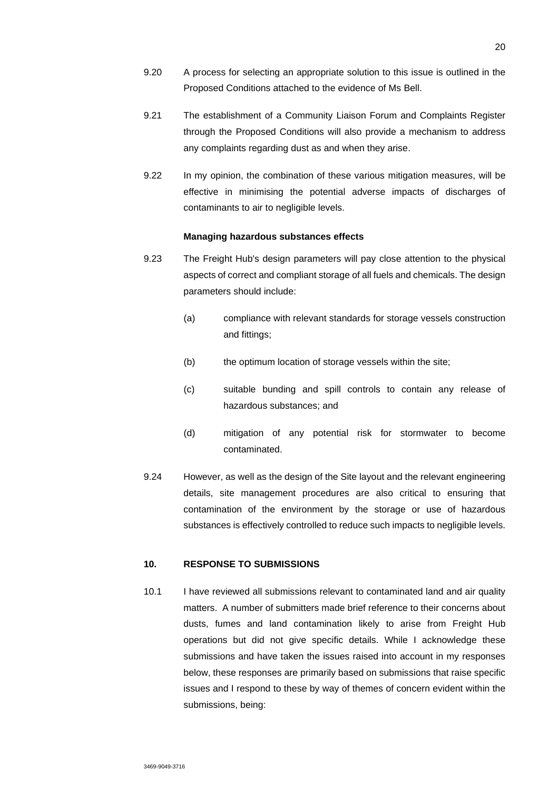- 9.20 A process for selecting an appropriate solution to this issue is outlined in the Proposed Conditions attached to the evidence of Ms Bell.
- 9.21 The establishment of a Community Liaison Forum and Complaints Register through the Proposed Conditions will also provide a mechanism to address any complaints regarding dust as and when they arise.
- 9.22 In my opinion, the combination of these various mitigation measures, will be effective in minimising the potential adverse impacts of discharges of contaminants to air to negligible levels.

#### **Managing hazardous substances effects**

- 9.23 The Freight Hub's design parameters will pay close attention to the physical aspects of correct and compliant storage of all fuels and chemicals. The design parameters should include:
	- (a) compliance with relevant standards for storage vessels construction and fittings;
	- (b) the optimum location of storage vessels within the site;
	- (c) suitable bunding and spill controls to contain any release of hazardous substances; and
	- (d) mitigation of any potential risk for stormwater to become contaminated.
- 9.24 However, as well as the design of the Site layout and the relevant engineering details, site management procedures are also critical to ensuring that contamination of the environment by the storage or use of hazardous substances is effectively controlled to reduce such impacts to negligible levels.

#### **10. RESPONSE TO SUBMISSIONS**

10.1 I have reviewed all submissions relevant to contaminated land and air quality matters. A number of submitters made brief reference to their concerns about dusts, fumes and land contamination likely to arise from Freight Hub operations but did not give specific details. While I acknowledge these submissions and have taken the issues raised into account in my responses below, these responses are primarily based on submissions that raise specific issues and I respond to these by way of themes of concern evident within the submissions, being: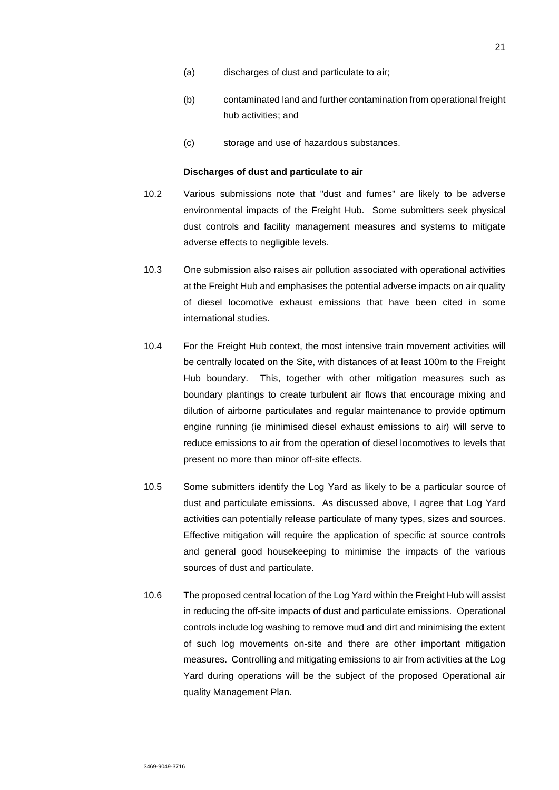- (a) discharges of dust and particulate to air;
- (b) contaminated land and further contamination from operational freight hub activities; and
- (c) storage and use of hazardous substances.

#### **Discharges of dust and particulate to air**

- 10.2 Various submissions note that "dust and fumes" are likely to be adverse environmental impacts of the Freight Hub. Some submitters seek physical dust controls and facility management measures and systems to mitigate adverse effects to negligible levels.
- 10.3 One submission also raises air pollution associated with operational activities at the Freight Hub and emphasises the potential adverse impacts on air quality of diesel locomotive exhaust emissions that have been cited in some international studies.
- 10.4 For the Freight Hub context, the most intensive train movement activities will be centrally located on the Site, with distances of at least 100m to the Freight Hub boundary. This, together with other mitigation measures such as boundary plantings to create turbulent air flows that encourage mixing and dilution of airborne particulates and regular maintenance to provide optimum engine running (ie minimised diesel exhaust emissions to air) will serve to reduce emissions to air from the operation of diesel locomotives to levels that present no more than minor off-site effects.
- 10.5 Some submitters identify the Log Yard as likely to be a particular source of dust and particulate emissions. As discussed above, I agree that Log Yard activities can potentially release particulate of many types, sizes and sources. Effective mitigation will require the application of specific at source controls and general good housekeeping to minimise the impacts of the various sources of dust and particulate.
- 10.6 The proposed central location of the Log Yard within the Freight Hub will assist in reducing the off-site impacts of dust and particulate emissions. Operational controls include log washing to remove mud and dirt and minimising the extent of such log movements on-site and there are other important mitigation measures. Controlling and mitigating emissions to air from activities at the Log Yard during operations will be the subject of the proposed Operational air quality Management Plan.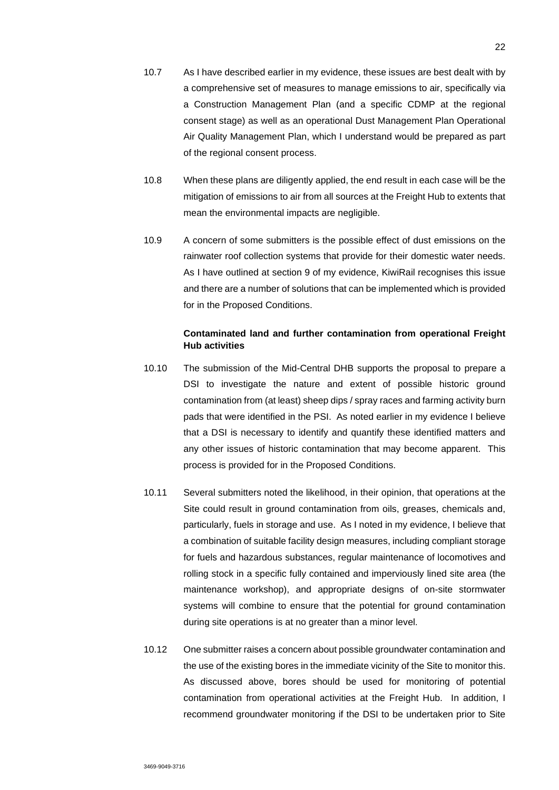- 10.7 As I have described earlier in my evidence, these issues are best dealt with by a comprehensive set of measures to manage emissions to air, specifically via a Construction Management Plan (and a specific CDMP at the regional consent stage) as well as an operational Dust Management Plan Operational Air Quality Management Plan, which I understand would be prepared as part of the regional consent process.
- 10.8 When these plans are diligently applied, the end result in each case will be the mitigation of emissions to air from all sources at the Freight Hub to extents that mean the environmental impacts are negligible.
- 10.9 A concern of some submitters is the possible effect of dust emissions on the rainwater roof collection systems that provide for their domestic water needs. As I have outlined at section 9 of my evidence, KiwiRail recognises this issue and there are a number of solutions that can be implemented which is provided for in the Proposed Conditions.

### **Contaminated land and further contamination from operational Freight Hub activities**

- 10.10 The submission of the Mid-Central DHB supports the proposal to prepare a DSI to investigate the nature and extent of possible historic ground contamination from (at least) sheep dips / spray races and farming activity burn pads that were identified in the PSI. As noted earlier in my evidence I believe that a DSI is necessary to identify and quantify these identified matters and any other issues of historic contamination that may become apparent. This process is provided for in the Proposed Conditions.
- 10.11 Several submitters noted the likelihood, in their opinion, that operations at the Site could result in ground contamination from oils, greases, chemicals and, particularly, fuels in storage and use. As I noted in my evidence, I believe that a combination of suitable facility design measures, including compliant storage for fuels and hazardous substances, regular maintenance of locomotives and rolling stock in a specific fully contained and imperviously lined site area (the maintenance workshop), and appropriate designs of on-site stormwater systems will combine to ensure that the potential for ground contamination during site operations is at no greater than a minor level.
- 10.12 One submitter raises a concern about possible groundwater contamination and the use of the existing bores in the immediate vicinity of the Site to monitor this. As discussed above, bores should be used for monitoring of potential contamination from operational activities at the Freight Hub. In addition, I recommend groundwater monitoring if the DSI to be undertaken prior to Site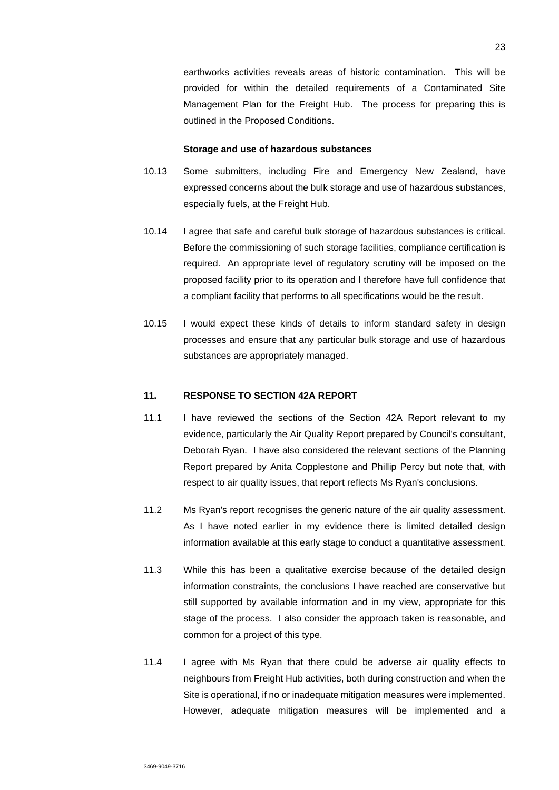earthworks activities reveals areas of historic contamination. This will be provided for within the detailed requirements of a Contaminated Site Management Plan for the Freight Hub. The process for preparing this is outlined in the Proposed Conditions.

#### **Storage and use of hazardous substances**

- 10.13 Some submitters, including Fire and Emergency New Zealand, have expressed concerns about the bulk storage and use of hazardous substances, especially fuels, at the Freight Hub.
- 10.14 I agree that safe and careful bulk storage of hazardous substances is critical. Before the commissioning of such storage facilities, compliance certification is required. An appropriate level of regulatory scrutiny will be imposed on the proposed facility prior to its operation and I therefore have full confidence that a compliant facility that performs to all specifications would be the result.
- 10.15 I would expect these kinds of details to inform standard safety in design processes and ensure that any particular bulk storage and use of hazardous substances are appropriately managed.

### **11. RESPONSE TO SECTION 42A REPORT**

- 11.1 I have reviewed the sections of the Section 42A Report relevant to my evidence, particularly the Air Quality Report prepared by Council's consultant, Deborah Ryan. I have also considered the relevant sections of the Planning Report prepared by Anita Copplestone and Phillip Percy but note that, with respect to air quality issues, that report reflects Ms Ryan's conclusions.
- 11.2 Ms Ryan's report recognises the generic nature of the air quality assessment. As I have noted earlier in my evidence there is limited detailed design information available at this early stage to conduct a quantitative assessment.
- 11.3 While this has been a qualitative exercise because of the detailed design information constraints, the conclusions I have reached are conservative but still supported by available information and in my view, appropriate for this stage of the process. I also consider the approach taken is reasonable, and common for a project of this type.
- 11.4 I agree with Ms Ryan that there could be adverse air quality effects to neighbours from Freight Hub activities, both during construction and when the Site is operational, if no or inadequate mitigation measures were implemented. However, adequate mitigation measures will be implemented and a